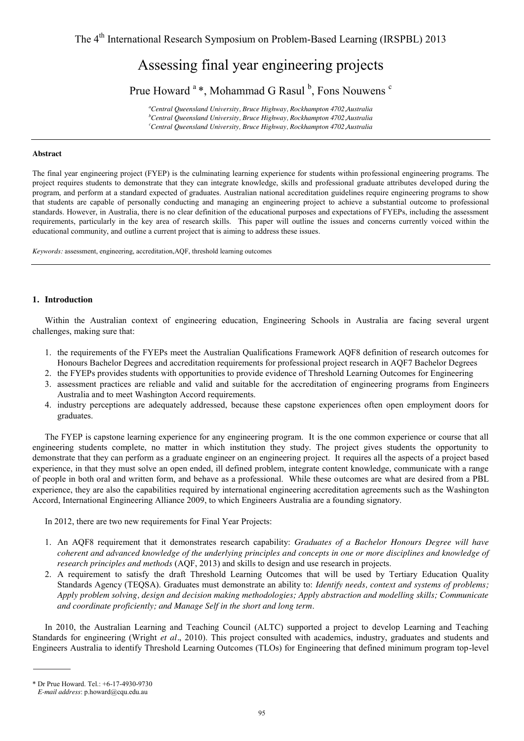# Assessing final year engineering projects

Prue Howard <sup>a</sup> \*, Mohammad G Rasul <sup>b</sup>, Fons Nouwens <sup>c</sup>

*a Central Queensland University, Bruce Highway, Rockhampton 4702,Australia b Central Queensland University, Bruce Highway, Rockhampton 4702,Australia c Central Queensland University, Bruce Highway, Rockhampton 4702,Australia* 

## **Abstract**

The final year engineering project (FYEP) is the culminating learning experience for students within professional engineering programs. The project requires students to demonstrate that they can integrate knowledge, skills and professional graduate attributes developed during the program, and perform at a standard expected of graduates. Australian national accreditation guidelines require engineering programs to show that students are capable of personally conducting and managing an engineering project to achieve a substantial outcome to professional standards. However, in Australia, there is no clear definition of the educational purposes and expectations of FYEPs, including the assessment requirements, particularly in the key area of research skills. This paper will outline the issues and concerns currently voiced within the educational community, and outline a current project that is aiming to address these issues.

*Keywords:* assessment, engineering, accreditation,AQF, threshold learning outcomes

## **1. Introduction**

Within the Australian context of engineering education, Engineering Schools in Australia are facing several urgent challenges, making sure that:

- 1. the requirements of the FYEPs meet the Australian Qualifications Framework AQF8 definition of research outcomes for Honours Bachelor Degrees and accreditation requirements for professional project research in AQF7 Bachelor Degrees
- 2. the FYEPs provides students with opportunities to provide evidence of Threshold Learning Outcomes for Engineering
- 3. assessment practices are reliable and valid and suitable for the accreditation of engineering programs from Engineers Australia and to meet Washington Accord requirements.
- 4. industry perceptions are adequately addressed, because these capstone experiences often open employment doors for graduates.

The FYEP is capstone learning experience for any engineering program. It is the one common experience or course that all engineering students complete, no matter in which institution they study. The project gives students the opportunity to demonstrate that they can perform as a graduate engineer on an engineering project. It requires all the aspects of a project based experience, in that they must solve an open ended, ill defined problem, integrate content knowledge, communicate with a range of people in both oral and written form, and behave as a professional. While these outcomes are what are desired from a PBL experience, they are also the capabilities required by international engineering accreditation agreements such as the Washington Accord, International Engineering Alliance 2009, to which Engineers Australia are a founding signatory.

In 2012, there are two new requirements for Final Year Projects:

- 1. An AQF8 requirement that it demonstrates research capability: *Graduates of a Bachelor Honours Degree will have coherent and advanced knowledge of the underlying principles and concepts in one or more disciplines and knowledge of research principles and methods* (AQF, 2013) and skills to design and use research in projects.
- 2. A requirement to satisfy the draft Threshold Learning Outcomes that will be used by Tertiary Education Quality Standards Agency (TEQSA). Graduates must demonstrate an ability to: *Identify needs, context and systems of problems; Apply problem solving, design and decision making methodologies; Apply abstraction and modelling skills; Communicate and coordinate proficiently; and Manage Self in the short and long term*.

In 2010, the Australian Learning and Teaching Council (ALTC) supported a project to develop Learning and Teaching Standards for engineering (Wright *et al.*, 2010). This project consulted with academics, industry, graduates and students and Engineers Australia to identify Threshold Learning Outcomes (TLOs) for Engineering that defined minimum program top-level

<sup>\*</sup> Dr Prue Howard. Tel.: +6-17-4930-9730

*E-mail address*: p.howard@cqu.edu.au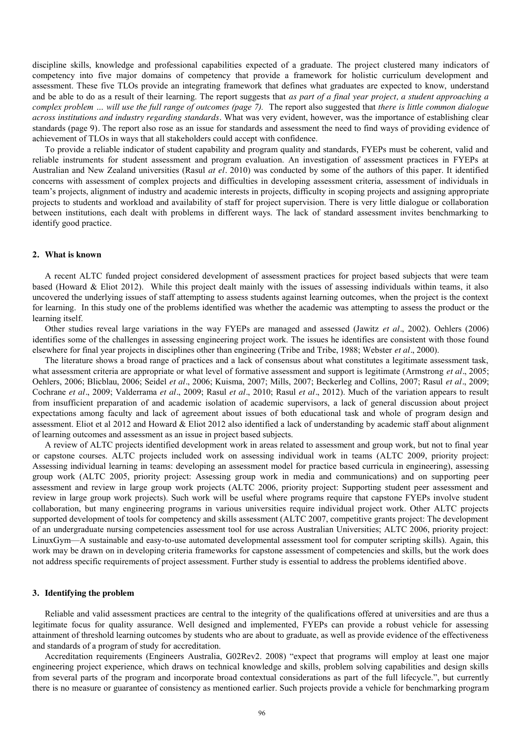discipline skills, knowledge and professional capabilities expected of a graduate. The project clustered many indicators of competency into five major domains of competency that provide a framework for holistic curriculum development and assessment. These five TLOs provide an integrating framework that defines what graduates are expected to know, understand and be able to do as a result of their learning. The report suggests that *as part of a final year project, a student approaching a complex problem … will use the full range of outcomes (page 7).* The report also suggested that *there is little common dialogue across institutions and industry regarding standards.* What was very evident, however, was the importance of establishing clear standards (page 9)*.* The report also rose as an issue for standards and assessment the need to find ways of providing evidence of achievement of TLOs in ways that all stakeholders could accept with confidence.

To provide a reliable indicator of student capability and program quality and standards, FYEPs must be coherent, valid and reliable instruments for student assessment and program evaluation. An investigation of assessment practices in FYEPs at Australian and New Zealand universities (Rasul *at el.* 2010) was conducted by some of the authors of this paper. It identified concerns with assessment of complex projects and difficulties in developing assessment criteria, assessment of individuals in team's projects, alignment of industry and academic interests in projects, difficulty in scoping projects and assigning appropriate projects to students and workload and availability of staff for project supervision. There is very little dialogue or collaboration between institutions, each dealt with problems in different ways. The lack of standard assessment invites benchmarking to identify good practice.

# **2. What is known**

A recent ALTC funded project considered development of assessment practices for project based subjects that were team based (Howard & Eliot 2012). While this project dealt mainly with the issues of assessing individuals within teams, it also uncovered the underlying issues of staff attempting to assess students against learning outcomes, when the project is the context for learning. In this study one of the problems identified was whether the academic was attempting to assess the product or the learning itself.

Other studies reveal large variations in the way FYEPs are managed and assessed (Jawitz *et al.*, 2002). Oehlers (2006) identifies some of the challenges in assessing engineering project work. The issues he identifies are consistent with those found elsewhere for final year projects in disciplines other than engineering (Tribe and Tribe, 1988; Webster *et al.*, 2000).

The literature shows a broad range of practices and a lack of consensus about what constitutes a legitimate assessment task, what assessment criteria are appropriate or what level of formative assessment and support is legitimate (Armstrong *et al.*, 2005; Oehlers, 2006; Blicblau, 2006; Seidel *et al.*, 2006; Kuisma, 2007; Mills, 2007; Beckerleg and Collins, 2007; Rasul *et al.*, 2009; Cochrane *et al.*, 2009; Valderrama *et al.*, 2009; Rasul *et al.*, 2010; Rasul *et al.*, 2012). Much of the variation appears to result from insufficient preparation of and academic isolation of academic supervisors, a lack of general discussion about project expectations among faculty and lack of agreement about issues of both educational task and whole of program design and assessment. Eliot et al 2012 and Howard & Eliot 2012 also identified a lack of understanding by academic staff about alignment of learning outcomes and assessment as an issue in project based subjects.

A review of ALTC projects identified development work in areas related to assessment and group work, but not to final year or capstone courses. ALTC projects included work on assessing individual work in teams (ALTC 2009, priority project: Assessing individual learning in teams: developing an assessment model for practice based curricula in engineering), assessing group work (ALTC 2005, priority project: Assessing group work in media and communications) and on supporting peer assessment and review in large group work projects (ALTC 2006, priority project: Supporting student peer assessment and review in large group work projects). Such work will be useful where programs require that capstone FYEPs involve student collaboration, but many engineering programs in various universities require individual project work. Other ALTC projects supported development of tools for competency and skills assessment (ALTC 2007, competitive grants project: The development of an undergraduate nursing competencies assessment tool for use across Australian Universities; ALTC 2006, priority project: LinuxGym—A sustainable and easy-to-use automated developmental assessment tool for computer scripting skills). Again, this work may be drawn on in developing criteria frameworks for capstone assessment of competencies and skills, but the work does not address specific requirements of project assessment. Further study is essential to address the problems identified above.

## **3. Identifying the problem**

Reliable and valid assessment practices are central to the integrity of the qualifications offered at universities and are thus a legitimate focus for quality assurance. Well designed and implemented, FYEPs can provide a robust vehicle for assessing attainment of threshold learning outcomes by students who are about to graduate, as well as provide evidence of the effectiveness and standards of a program of study for accreditation.

Accreditation requirements (Engineers Australia, G02Rev2. 2008) "expect that programs will employ at least one major engineering project experience, which draws on technical knowledge and skills, problem solving capabilities and design skills from several parts of the program and incorporate broad contextual considerations as part of the full lifecycle.", but currently there is no measure or guarantee of consistency as mentioned earlier. Such projects provide a vehicle for benchmarking program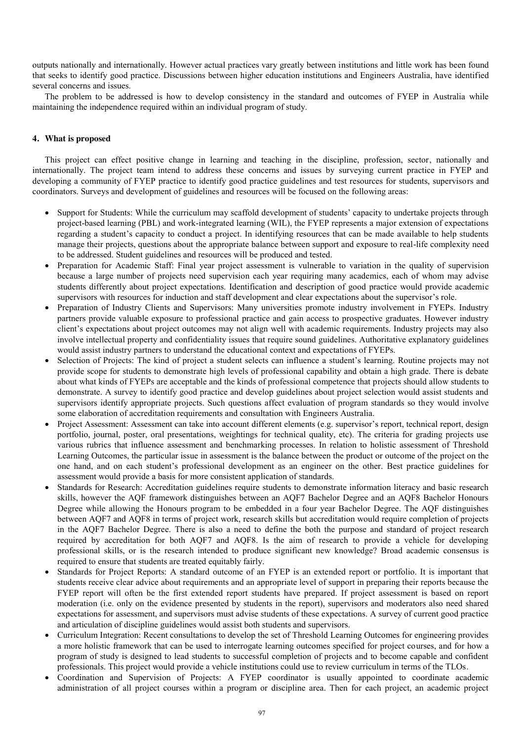outputs nationally and internationally. However actual practices vary greatly between institutions and little work has been found that seeks to identify good practice. Discussions between higher education institutions and Engineers Australia, have identified several concerns and issues.

The problem to be addressed is how to develop consistency in the standard and outcomes of FYEP in Australia while maintaining the independence required within an individual program of study.

# **4. What is proposed**

This project can effect positive change in learning and teaching in the discipline, profession, sector, nationally and internationally. The project team intend to address these concerns and issues by surveying current practice in FYEP and developing a community of FYEP practice to identify good practice guidelines and test resources for students, supervisors and coordinators. Surveys and development of guidelines and resources will be focused on the following areas:

- Support for Students: While the curriculum may scaffold development of students' capacity to undertake projects through project-based learning (PBL) and work-integrated learning (WIL), the FYEP represents a major extension of expectations regarding a student's capacity to conduct a project. In identifying resources that can be made available to help students manage their projects, questions about the appropriate balance between support and exposure to real-life complexity need to be addressed. Student guidelines and resources will be produced and tested.
- Preparation for Academic Staff: Final year project assessment is vulnerable to variation in the quality of supervision because a large number of projects need supervision each year requiring many academics, each of whom may advise students differently about project expectations. Identification and description of good practice would provide academic supervisors with resources for induction and staff development and clear expectations about the supervisor's role.
- Preparation of Industry Clients and Supervisors: Many universities promote industry involvement in FYEPs. Industry partners provide valuable exposure to professional practice and gain access to prospective graduates. However industry client's expectations about project outcomes may not align well with academic requirements. Industry projects may also involve intellectual property and confidentiality issues that require sound guidelines. Authoritative explanatory guidelines would assist industry partners to understand the educational context and expectations of FYEPs.
- Selection of Projects: The kind of project a student selects can influence a student's learning. Routine projects may not provide scope for students to demonstrate high levels of professional capability and obtain a high grade. There is debate about what kinds of FYEPs are acceptable and the kinds of professional competence that projects should allow students to demonstrate. A survey to identify good practice and develop guidelines about project selection would assist students and supervisors identify appropriate projects. Such questions affect evaluation of program standards so they would involve some elaboration of accreditation requirements and consultation with Engineers Australia.
- Project Assessment: Assessment can take into account different elements (e.g. supervisor's report, technical report, design portfolio, journal, poster, oral presentations, weightings for technical quality, etc). The criteria for grading projects use various rubrics that influence assessment and benchmarking processes. In relation to holistic assessment of Threshold Learning Outcomes, the particular issue in assessment is the balance between the product or outcome of the project on the one hand, and on each student's professional development as an engineer on the other. Best practice guidelines for assessment would provide a basis for more consistent application of standards.
- Standards for Research: Accreditation guidelines require students to demonstrate information literacy and basic research skills, however the AQF framework distinguishes between an AQF7 Bachelor Degree and an AQF8 Bachelor Honours Degree while allowing the Honours program to be embedded in a four year Bachelor Degree. The AQF distinguishes between AQF7 and AQF8 in terms of project work, research skills but accreditation would require completion of projects in the AQF7 Bachelor Degree. There is also a need to define the both the purpose and standard of project research required by accreditation for both AQF7 and AQF8. Is the aim of research to provide a vehicle for developing professional skills, or is the research intended to produce significant new knowledge? Broad academic consensus is required to ensure that students are treated equitably fairly.
- Standards for Project Reports: A standard outcome of an FYEP is an extended report or portfolio. It is important that students receive clear advice about requirements and an appropriate level of support in preparing their reports because the FYEP report will often be the first extended report students have prepared. If project assessment is based on report moderation (i.e. only on the evidence presented by students in the report), supervisors and moderators also need shared expectations for assessment, and supervisors must advise students of these expectations. A survey of current good practice and articulation of discipline guidelines would assist both students and supervisors.
- Curriculum Integration: Recent consultations to develop the set of Threshold Learning Outcomes for engineering provides a more holistic framework that can be used to interrogate learning outcomes specified for project courses, and for how a program of study is designed to lead students to successful completion of projects and to become capable and confident professionals. This project would provide a vehicle institutions could use to review curriculum in terms of the TLOs.
- Coordination and Supervision of Projects: A FYEP coordinator is usually appointed to coordinate academic administration of all project courses within a program or discipline area. Then for each project, an academic project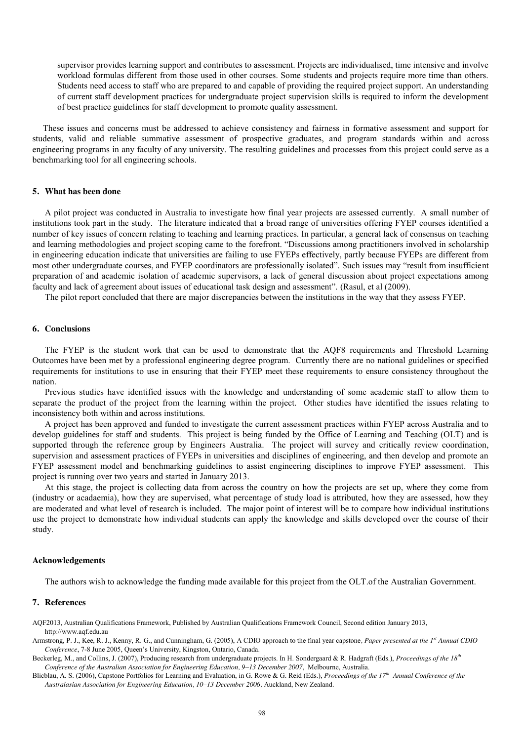supervisor provides learning support and contributes to assessment. Projects are individualised, time intensive and involve workload formulas different from those used in other courses. Some students and projects require more time than others. Students need access to staff who are prepared to and capable of providing the required project support. An understanding of current staff development practices for undergraduate project supervision skills is required to inform the development of best practice guidelines for staff development to promote quality assessment.

These issues and concerns must be addressed to achieve consistency and fairness in formative assessment and support for students, valid and reliable summative assessment of prospective graduates, and program standards within and across engineering programs in any faculty of any university. The resulting guidelines and processes from this project could serve as a benchmarking tool for all engineering schools.

## **5. What has been done**

A pilot project was conducted in Australia to investigate how final year projects are assessed currently. A small number of institutions took part in the study. The literature indicated that a broad range of universities offering FYEP courses identified a number of key issues of concern relating to teaching and learning practices. In particular, a general lack of consensus on teaching and learning methodologies and project scoping came to the forefront. "Discussions among practitioners involved in scholarship in engineering education indicate that universities are failing to use FYEPs effectively, partly because FYEPs are different from most other undergraduate courses, and FYEP coordinators are professionally isolated". Such issues may "result from insufficient preparation of and academic isolation of academic supervisors, a lack of general discussion about project expectations among faculty and lack of agreement about issues of educational task design and assessment". (Rasul, et al (2009).

The pilot report concluded that there are major discrepancies between the institutions in the way that they assess FYEP.

#### **6. Conclusions**

The FYEP is the student work that can be used to demonstrate that the AQF8 requirements and Threshold Learning Outcomes have been met by a professional engineering degree program. Currently there are no national guidelines or specified requirements for institutions to use in ensuring that their FYEP meet these requirements to ensure consistency throughout the nation.

Previous studies have identified issues with the knowledge and understanding of some academic staff to allow them to separate the product of the project from the learning within the project. Other studies have identified the issues relating to inconsistency both within and across institutions.

A project has been approved and funded to investigate the current assessment practices within FYEP across Australia and to develop guidelines for staff and students. This project is being funded by the Office of Learning and Teaching (OLT) and is supported through the reference group by Engineers Australia. The project will survey and critically review coordination, supervision and assessment practices of FYEPs in universities and disciplines of engineering, and then develop and promote an FYEP assessment model and benchmarking guidelines to assist engineering disciplines to improve FYEP assessment. This project is running over two years and started in January 2013.

At this stage, the project is collecting data from across the country on how the projects are set up, where they come from (industry or acadaemia), how they are supervised, what percentage of study load is attributed, how they are assessed, how they are moderated and what level of research is included. The major point of interest will be to compare how individual institutions use the project to demonstrate how individual students can apply the knowledge and skills developed over the course of their study.

#### **Acknowledgements**

The authors wish to acknowledge the funding made available for this project from the OLT.of the Australian Government.

## **7. References**

AQF2013, Australian Qualifications Framework, Published by Australian Qualifications Framework Council, Second edition January 2013, [http://www.aqf.edu.au](http://www.aqf.edu.au/) 

Armstrong, P. J., Kee, R. J., Kenny, R. G., and Cunningham, G. (2005), A CDIO approach to the final year capstone*, Paper presented at the 1st Annual CDIO Conference*, 7-8 June 2005, Queen's University, Kingston, Ontario, Canada.

Beckerleg, M., and Collins, J. (2007), Producing research from undergraduate projects. In H. Sondergaard & R. Hadgraft (Eds.), *Proceedings of the 18th Conference of the Australian Association for Engineering Education, 9–13 December 2007*, Melbourne, Australia.

Blicblau, A. S. (2006), Capstone Portfolios for Learning and Evaluation, in G. Rowe & G. Reid (Eds.), *Proceedings of the 17th Annual Conference of the Australasian Association for Engineering Education, 10–13 December 2006,* Auckland, New Zealand.